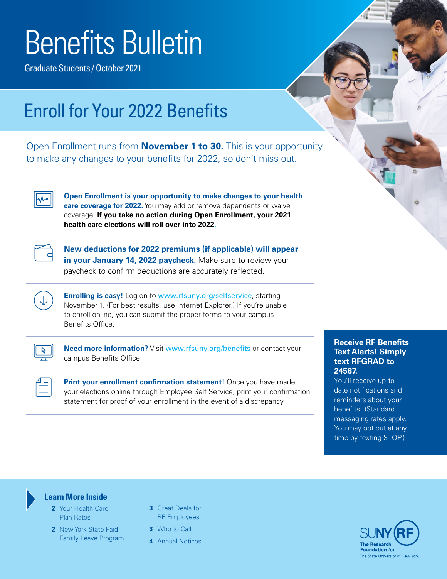# Benefits Bulletin

Graduate Students / October 2021

### Enroll for Your 2022 Benefits

Open Enrollment runs from **November 1 to 30.** This is your opportunity to make any changes to your benefits for 2022, so don't miss out.

⊦∿∼

**Open Enrollment is your opportunity to make changes to your health care coverage for 2022.** You may add or remove dependents or waive coverage. **If you take no action during Open Enrollment, your 2021 health care elections will roll over into 2022.**



**New deductions for 2022 premiums (if applicable) will appear in your January 14, 2022 paycheck.** Make sure to review your paycheck to confirm deductions are accurately reflected.

**Enrolling is easy!** Log on to [www.rfsuny.org/selfservice](http://www.rfsuny.org/selfservice), starting November 1. (For best results, use Internet Explorer.) If you're unable to enroll online, you can submit the proper forms to your campus Benefits Office.



**Need more information?** Visit [www.rfsuny.org/benefits](http://www.rfsuny.org/benefits) or contact your campus Benefits Office.

**Print your enrollment confirmation statement!** Once you have made your elections online through Employee Self Service, print your confirmation statement for proof of your enrollment in the event of a discrepancy.

#### **Receive RF Benefits Text Alerts! Simply text RFGRAD to 24587.**

You'll receive up-todate notifications and reminders about your benefits! (Standard messaging rates apply. You may opt out at any time by texting STOP.)



#### **Learn More Inside**

- **2** [Your Health Care](#page-1-0)  [Plan Rates](#page-1-0)
- **[2](#page-1-0)** New York State Paid Family Leave Program
- **[3](#page-2-0)** Great Deals for RF Employees
- **[3](#page-2-0)** Who to Call
- **4** [Annual Notices](#page-3-0)

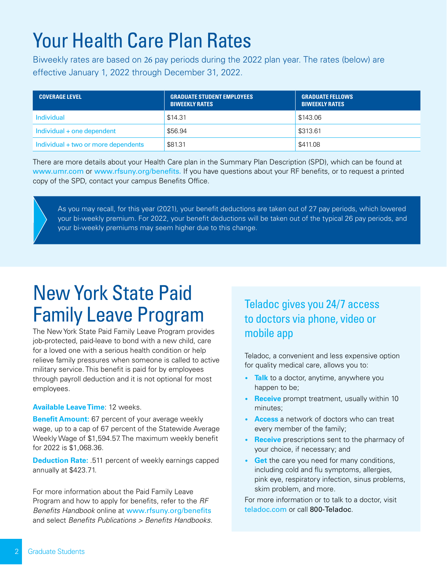# <span id="page-1-0"></span>Your Health Care Plan Rates

Biweekly rates are based on 26 pay periods during the 2022 plan year. The rates (below) are effective January 1, 2022 through December 31, 2022.

| <b>COVERAGE LEVEL</b>               | <b>GRADUATE STUDENT EMPLOYEES</b><br><b>BIWEEKLY RATES</b> | <b>GRADUATE FELLOWS</b><br><b>BIWEEKLY RATES</b> |
|-------------------------------------|------------------------------------------------------------|--------------------------------------------------|
| Individual                          | \$14.31                                                    | \$143.06                                         |
| Individual + one dependent          | \$56.94                                                    | \$313.61                                         |
| Individual + two or more dependents | \$81.31                                                    | \$411.08                                         |

There are more details about your Health Care plan in the Summary Plan Description (SPD), which can be found at [www.umr.com](http://www.umr.com) or [www.rfsuny.org/benefits.](http://www.rfsuny.org/benefits) If you have questions about your RF benefits, or to request a printed copy of the SPD, contact your campus Benefits Office.

As you may recall, for this year (2021), your benefit deductions are taken out of 27 pay periods, which lowered your bi-weekly premium. For 2022, your benefit deductions will be taken out of the typical 26 pay periods, and your bi-weekly premiums may seem higher due to this change.

# New York State Paid Family Leave Program

The New York State Paid Family Leave Program provides job-protected, paid-leave to bond with a new child, care for a loved one with a serious health condition or help relieve family pressures when someone is called to active military service. This benefit is paid for by employees through payroll deduction and it is not optional for most employees.

#### **Available Leave Time**: 12 weeks.

**Benefit Amount:** 67 percent of your average weekly wage, up to a cap of 67 percent of the Statewide Average Weekly Wage of \$1,594.57. The maximum weekly benefit for 2022 is \$1,068.36.

**Deduction Rate:** .511 percent of weekly earnings capped annually at \$423.71.

For more information about the Paid Family Leave Program and how to apply for benefits, refer to the *RF Benefits Handbook* online at [www.rfsuny.org/benefits](http://www.rfsuny.org/benefits) and select *Benefits Publications > Benefits Handbooks.*

### Teladoc gives you 24/7 access to doctors via phone, video or mobile app

Teladoc, a convenient and less expensive option for quality medical care, allows you to:

- **Talk** to a doctor, anytime, anywhere you happen to be;
- **Receive** prompt treatment, usually within 10 minutes;
- **Access** a network of doctors who can treat every member of the family;
- **Receive** prescriptions sent to the pharmacy of your choice, if necessary; and
- **Get** the care you need for many conditions, including cold and flu symptoms, allergies, pink eye, respiratory infection, sinus problems, skim problem, and more.

For more information or to talk to a doctor, visit [teladoc.com](http://teladoc.com) or call 800-Teladoc.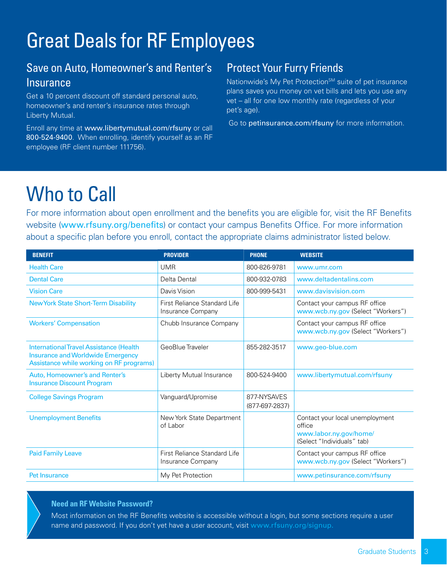# <span id="page-2-0"></span>Great Deals for RF Employees

### Save on Auto, Homeowner's and Renter's **Insurance**

Get a 10 percent discount off standard personal auto, homeowner's and renter's insurance rates through Liberty Mutual.

Enroll any time at [www.libertymutual.com/rfsuny](http://www.libertymutual.com/rfsuny) or call 800-524-9400. When enrolling, identify yourself as an RF employee (RF client number 111756).

### Protect Your Furry Friends

Nationwide's My Pet Protection<sup>SM</sup> suite of pet insurance plans saves you money on vet bills and lets you use any vet – all for one low monthly rate (regardless of your pet's age).

Go to [petinsurance.com/rfsuny](http://petinsurance.com/rfsuny) for more information.

# Who to Call

For more information about open enrollment and the benefits you are eligible for, visit the RF Benefits website ([www.rfsuny.org/benefits](http://www.rfsuny.org/benefits)) or contact your campus Benefits Office. For more information about a specific plan before you enroll, contact the appropriate claims administrator listed below.

| <b>BENEFIT</b>                                                                                                                        | <b>PROVIDER</b>                                   | <b>PHONE</b>                  | <b>WEBSITE</b>                                                                                    |
|---------------------------------------------------------------------------------------------------------------------------------------|---------------------------------------------------|-------------------------------|---------------------------------------------------------------------------------------------------|
| <b>Health Care</b>                                                                                                                    | <b>UMR</b>                                        | 800-826-9781                  | www.umr.com                                                                                       |
| <b>Dental Care</b>                                                                                                                    | Delta Dental                                      | 800-932-0783                  | www.deltadentalins.com                                                                            |
| <b>Vision Care</b>                                                                                                                    | Davis Vision                                      | 800-999-5431                  | www.davisvision.com                                                                               |
| <b>New York State Short-Term Disability</b>                                                                                           | First Reliance Standard Life<br>Insurance Company |                               | Contact your campus RF office<br>www.wcb.ny.gov (Select "Workers")                                |
| <b>Workers' Compensation</b>                                                                                                          | Chubb Insurance Company                           |                               | Contact your campus RF office<br>www.wcb.ny.gov (Select "Workers")                                |
| <b>InternationalTravel Assistance (Health</b><br><b>Insurance and Worldwide Emergency</b><br>Assistance while working on RF programs) | GeoBlue Traveler                                  | 855-282-3517                  | www.geo-blue.com                                                                                  |
| Auto, Homeowner's and Renter's<br><b>Insurance Discount Program</b>                                                                   | Liberty Mutual Insurance                          | 800-524-9400                  | www.libertymutual.com/rfsuny                                                                      |
| <b>College Savings Program</b>                                                                                                        | Vanguard/Upromise                                 | 877-NYSAVES<br>(877-697-2837) |                                                                                                   |
| <b>Unemployment Benefits</b>                                                                                                          | New York State Department<br>of Labor             |                               | Contact your local unemployment<br>office<br>www.labor.ny.gov/home/<br>(Select "Individuals" tab) |
| <b>Paid Family Leave</b>                                                                                                              | First Reliance Standard Life<br>Insurance Company |                               | Contact your campus RF office<br>www.wcb.ny.gov (Select "Workers")                                |
| Pet Insurance                                                                                                                         | My Pet Protection                                 |                               | www.petinsurance.com/rfsuny                                                                       |

#### **Need an RF Website Password?**

Most information on the RF Benefits website is accessible without a login, but some sections require a user name and password. If you don't yet have a user account, visit [www.rfsuny.org/signup](http://www.rfsuny.org/signup).